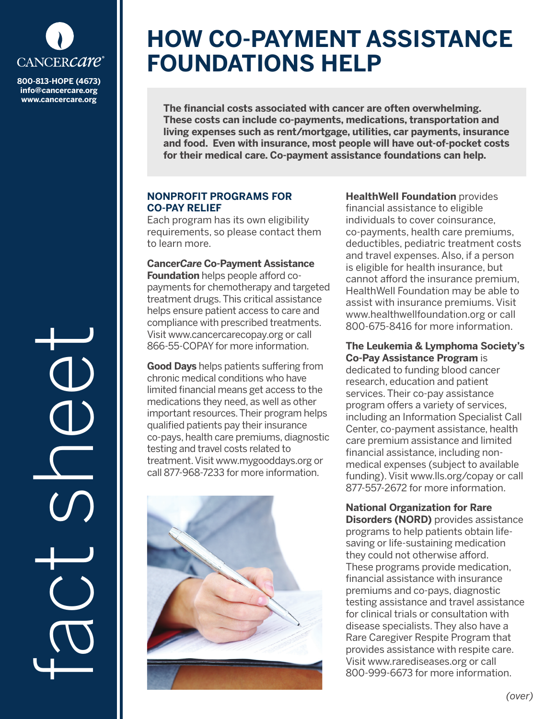

**info@cancercare.org www.cancercare.org**

fact see

# **HOW CO-PAYMENT ASSISTANCE FOUNDATIONS HELP**

**The financial costs associated with cancer are often overwhelming. These costs can include co-payments, medications, transportation and living expenses such as rent/mortgage, utilities, car payments, insurance and food. Even with insurance, most people will have out-of-pocket costs for their medical care. Co-payment assistance foundations can help.**

### **NONPROFIT PROGRAMS FOR CO-PAY RELIEF**

Each program has its own eligibility requirements, so please contact them to learn more.

# **Cancer***Care* **Co-Payment Assistance**

**Foundation** helps people afford copayments for chemotherapy and targeted treatment drugs. This critical assistance helps ensure patient access to care and compliance with prescribed treatments. Visit www.cancercarecopay.org or call 866-55-COPAY for more information.

**Good Days** helps patients suffering from chronic medical conditions who have limited financial means get access to the medications they need, as well as other important resources. Their program helps qualified patients pay their insurance co-pays, health care premiums, diagnostic testing and travel costs related to treatment. Visit www.mygooddays.org or call 877-968-7233 for more information.



**HealthWell Foundation** provides financial assistance to eligible individuals to cover coinsurance, co-payments, health care premiums, deductibles, pediatric treatment costs and travel expenses. Also, if a person is eligible for health insurance, but cannot afford the insurance premium, HealthWell Foundation may be able to assist with insurance premiums. Visit www.healthwellfoundation.org or call 800-675-8416 for more information.

#### **The Leukemia & Lymphoma Society's Co-Pay Assistance Program** is

dedicated to funding blood cancer research, education and patient services. Their co-pay assistance program offers a variety of services, including an Information Specialist Call Center, co-payment assistance, health care premium assistance and limited financial assistance, including nonmedical expenses (subject to available funding). Visit www.lls.org/copay or call 877-557-2672 for more information.

# **National Organization for Rare**

**Disorders (NORD)** provides assistance programs to help patients obtain lifesaving or life-sustaining medication they could not otherwise afford. These programs provide medication, financial assistance with insurance premiums and co-pays, diagnostic testing assistance and travel assistance for clinical trials or consultation with disease specialists. They also have a Rare Caregiver Respite Program that provides assistance with respite care. Visit www.rarediseases.org or call 800-999-6673 for more information.